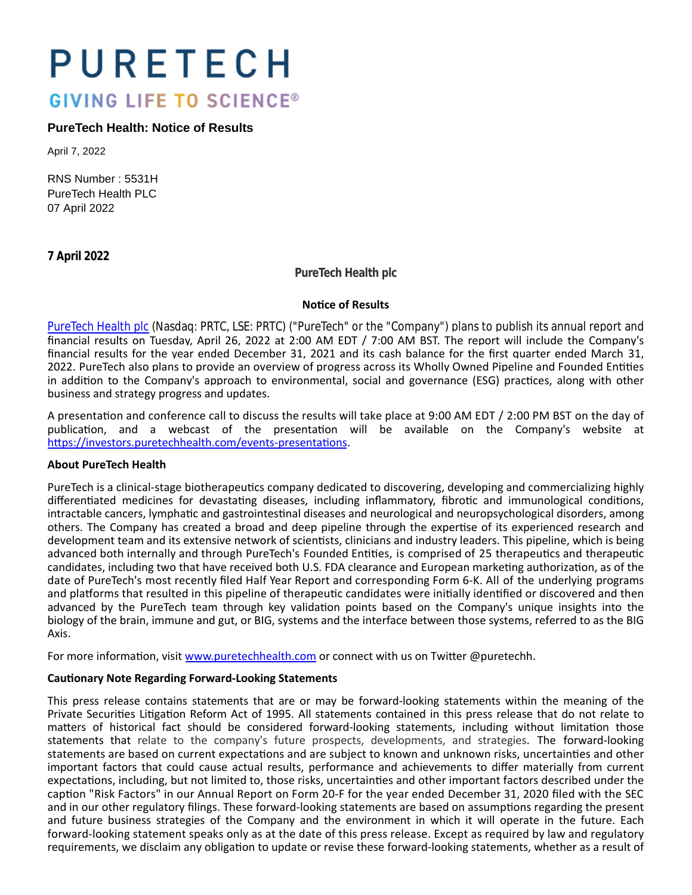# PURETECH **GIVING LIFE TO SCIENCE®**

# **PureTech Health: Notice of Results**

April 7, 2022

RNS Number : 5531H PureTech Health PLC 07 April 2022

**7 April 2022**

**PureTech Health plc**

#### **Notice of Results**

[PureTech Health plc \(](https://puretechhealth.com/)Nasdaq: PRTC, LSE: PRTC) ("PureTech" or the "Company") plans to publish its annual report and financial results on Tuesday, April 26, 2022 at 2:00 AM EDT / 7:00 AM BST. The report will include the Company's financial results for the year ended December 31, 2021 and its cash balance for the first quarter ended March 31, 2022. PureTech also plans to provide an overview of progress across its Wholly Owned Pipeline and Founded Entities in addition to the Company's approach to environmental, social and governance (ESG) practices, along with other business and strategy progress and updates.

A presentation and conference call to discuss the results will take place at 9:00 AM EDT / 2:00 PM BST on the day of publication, and a webcast of the presentation will be available on the Company's website at https://investors.puretechhealth.com/events-presentations.

## **About PureTech Health**

PureTech is a clinical-stage biotherapeutics company dedicated to discovering, developing and commercializing highly differentiated medicines for devastating diseases, including inflammatory, fibrotic and immunological conditions, intractable cancers, lymphatic and gastrointestinal diseases and neurological and neuropsychological disorders, among others. The Company has created a broad and deep pipeline through the expertise of its experienced research and development team and its extensive network of scientists, clinicians and industry leaders. This pipeline, which is being advanced both internally and through PureTech's Founded Entities, is comprised of 25 therapeutics and therapeutic candidates, including two that have received both U.S. FDA clearance and European marketing authorization, as of the date of PureTech's most recently filed Half Year Report and corresponding Form 6-K. All of the underlying programs and platforms that resulted in this pipeline of therapeutic candidates were initially identified or discovered and then advanced by the PureTech team through key validation points based on the Company's unique insights into the biology of the brain, immune and gut, or BIG, systems and the interface between those systems, referred to as the BIG Axis.

For more information, visit [www.puretechhealth.com o](http://www.puretechhealth.com/)r connect with us on Twitter @puretechh.

## **CauƟonary Note Regarding Forward-Looking Statements**

This press release contains statements that are or may be forward-looking statements within the meaning of the Private Securities Litigation Reform Act of 1995. All statements contained in this press release that do not relate to matters of historical fact should be considered forward-looking statements, including without limitation those statements that relate to the company's future prospects, developments, and strategies. The forward-looking statements are based on current expectations and are subject to known and unknown risks, uncertainties and other important factors that could cause actual results, performance and achievements to differ materially from current expectations, including, but not limited to, those risks, uncertainties and other important factors described under the caption "Risk Factors" in our Annual Report on Form 20-F for the year ended December 31, 2020 filed with the SEC and in our other regulatory filings. These forward-looking statements are based on assumptions regarding the present and future business strategies of the Company and the environment in which it will operate in the future. Each forward-looking statement speaks only as at the date of this press release. Except as required by law and regulatory requirements, we disclaim any obligation to update or revise these forward-looking statements, whether as a result of